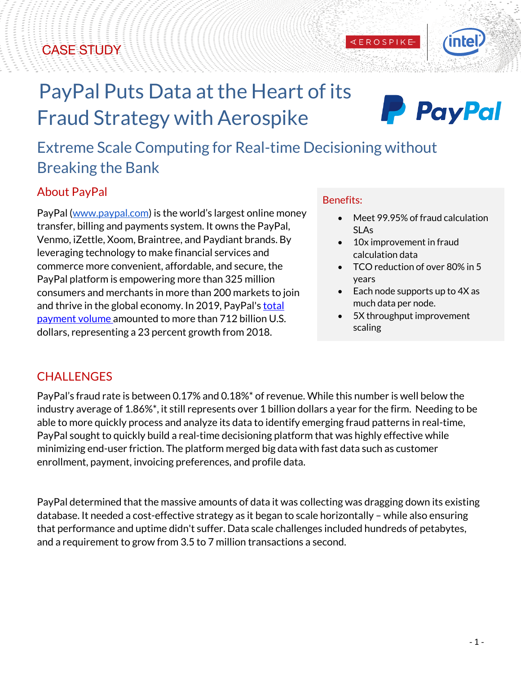## CASE STUDY



# PayPal Puts Data at the Heart of its Fraud Strategy with Aerospike



# Extreme Scale Computing for Real-time Decisioning without Breaking the Bank

#### About PayPal

PayPal (www.paypal.com) is the world's largest online money transfer, billing and payments system. It owns the PayPal, Venmo, iZettle, Xoom, Braintree, and Paydiant brands. By leveraging technology to make financial services and commerce more convenient, affordable, and secure, the PayPal platform is empowering more than 325 million consumers and merchants in more than 200 markets to join and thrive in the global economy. In 2019, PayPal's total payment volume amounted to more than 712 billion U.S. dollars, representing a 23 percent growth from 2018.

#### Benefits:

- Meet 99.95% of fraud calculation SLAs
- 10x improvement in fraud calculation data

**KEROSPIKE** 

- TCO reduction of over 80% in 5 years
- Each node supports up to 4X as much data per node.
- 5X throughput improvement scaling

#### **CHALLENGES**

PayPal's fraud rate is between 0.17% and 0.18%\* of revenue. While this number is well below the industry average of 1.86%\*, it still represents over 1 billion dollars a year for the firm. Needing to be able to more quickly process and analyze its data to identify emerging fraud patterns in real-time, PayPal sought to quickly build a real-time decisioning platform that was highly effective while minimizing end-user friction. The platform merged big data with fast data such as customer enrollment, payment, invoicing preferences, and profile data.

PayPal determined that the massive amounts of data it was collecting was dragging down its existing database. It needed a cost-effective strategy as it began to scale horizontally – while also ensuring that performance and uptime didn't suffer. Data scale challenges included hundreds of petabytes, and a requirement to grow from 3.5 to 7 million transactions a second.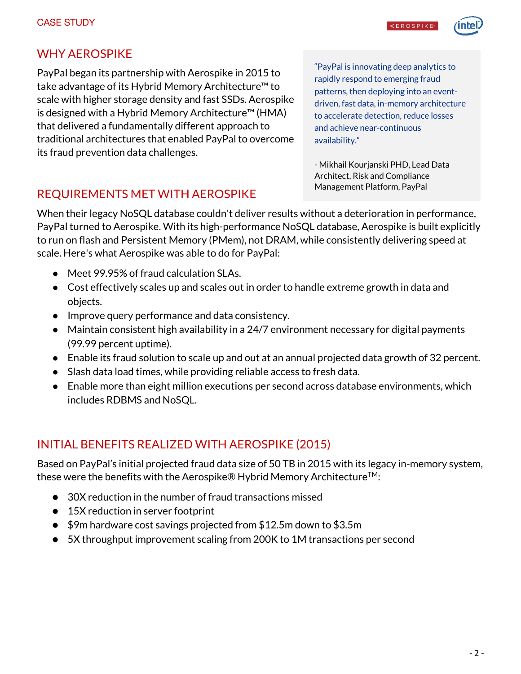**EROSPIKE** 



#### WHY AEROSPIKE

PayPal began its partnership with Aerospike in 2015 to take advantage of its Hybrid Memory Architecture™ to scale with higher storage density and fast SSDs. Aerospike is designed with a Hybrid Memory Architecture™ (HMA) that delivered a fundamentally different approach to traditional architectures that enabled PayPal to overcome its fraud prevention data challenges.

"PayPal is innovating deep analytics to rapidly respond to emerging fraud patterns, then deploying into an eventdriven, fast data, in-memory architecture to accelerate detection, reduce losses and achieve near-continuous availability."

- Mikhail Kourjanski PHD, Lead Data Architect, Risk and Compliance Management Platform, PayPal

#### REQUIREMENTS MET WITH AEROSPIKE

When their legacy NoSQL database couldn't deliver results without a deterioration in performance, PayPal turned to Aerospike. With its high-performance NoSQL database, Aerospike is built explicitly to run on flash and Persistent Memory (PMem), not DRAM, while consistently delivering speed at scale. Here's what Aerospike was able to do for PayPal:

- Meet 99.95% of fraud calculation SLAs.
- Cost effectively scales up and scales out in order to handle extreme growth in data and objects.
- Improve query performance and data consistency.
- Maintain consistent high availability in a 24/7 environment necessary for digital payments (99.99 percent uptime).
- Enable its fraud solution to scale up and out at an annual projected data growth of 32 percent.
- Slash data load times, while providing reliable access to fresh data.
- Enable more than eight million executions per second across database environments, which includes RDBMS and NoSQL.

#### INITIAL BENEFITS REALIZED WITH AEROSPIKE (2015)

Based on PayPal's initial projected fraud data size of 50 TB in 2015 with its legacy in-memory system, these were the benefits with the Aerospike® Hybrid Memory Architecture<sup>TM</sup>:

- 30X reduction in the number of fraud transactions missed
- 15X reduction in server footprint
- \$9m hardware cost savings projected from \$12.5m down to \$3.5m
- 5X throughput improvement scaling from 200K to 1M transactions per second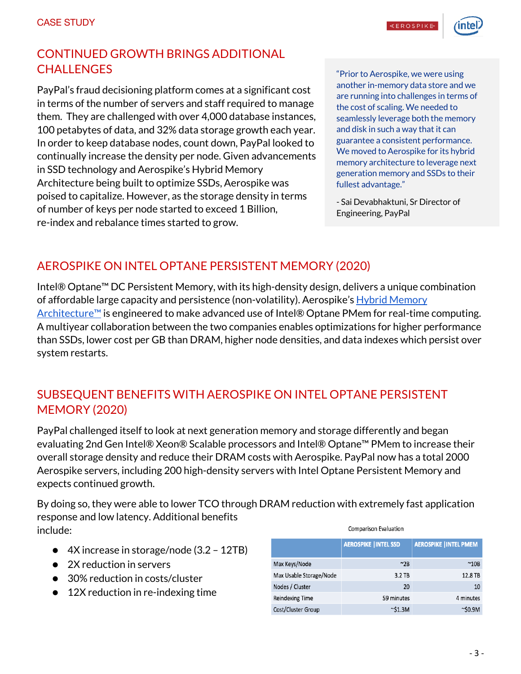#### CONTINUED GROWTH BRINGS ADDITIONAL **CHALLENGES**

PayPal's fraud decisioning platform comes at a significant cost in terms of the number of servers and staff required to manage them. They are challenged with over 4,000 database instances, 100 petabytes of data, and 32% data storage growth each year. In order to keep database nodes, count down, PayPal looked to continually increase the density per node. Given advancements in SSD technology and Aerospike's Hybrid Memory Architecture being built to optimize SSDs, Aerospike was poised to capitalize. However, as the storage density in terms of number of keys per node started to exceed 1 Billion, re-index and rebalance times started to grow.

"Prior to Aerospike, we were using another in-memory data store and we are running into challenges in terms of the cost of scaling. We needed to seamlessly leverage both the memory and disk in such a way that it can guarantee a consistent performance. We moved to Aerospike for its hybrid memory architecture to leverage next generation memory and SSDs to their fullest advantage."

- Sai Devabhaktuni, Sr Director of Engineering, PayPal

### AEROSPIKE ON INTEL OPTANE PERSISTENT MEMORY (2020)

Intel® Optane™ DC Persistent Memory, with its high-density design, delivers a unique combination of affordable large capacity and persistence (non-volatility). Aerospike's Hybrid Memory Architecture™ is engineered to make advanced use of Intel® Optane PMem for real-time computing. A multiyear collaboration between the two companies enables optimizations for higher performance than SSDs, lower cost per GB than DRAM, higher node densities, and data indexes which persist over system restarts.

#### SUBSEQUENT BENEFITS WITH AEROSPIKE ON INTEL OPTANE PERSISTENT MEMORY (2020)

PayPal challenged itself to look at next generation memory and storage differently and began evaluating 2nd Gen Intel® Xeon® Scalable processors and Intel® Optane™ PMem to increase their overall storage density and reduce their DRAM costs with Aerospike. PayPal now has a total 2000 Aerospike servers, including 200 high-density servers with Intel Optane Persistent Memory and expects continued growth.

By doing so, they were able to lower TCO through DRAM reduction with extremely fast application response and low latency. Additional benefits include: **Comparison Evaluation** 

- 4X increase in storage/node (3.2 12TB)
- 2X reduction in servers
- 30% reduction in costs/cluster
- 12X reduction in re-indexing time

|                         | <b>AEROSPIKE   INTEL SSD</b> | <b>AEROSPIKE   INTEL PMEM</b> |
|-------------------------|------------------------------|-------------------------------|
| Max Keys/Node           | $~^{\circ}2B$                | $~^{\sim}$ 10B                |
| Max Usable Storage/Node | $3.2$ TB                     | 12.8 TB                       |
| Nodes / Cluster         | 20                           | 10                            |
| <b>Reindexing Time</b>  | 59 minutes                   | 4 minutes                     |
| Cost/Cluster Group      | $\sim$ \$1.3M                | $\sim$ \$0.9M                 |